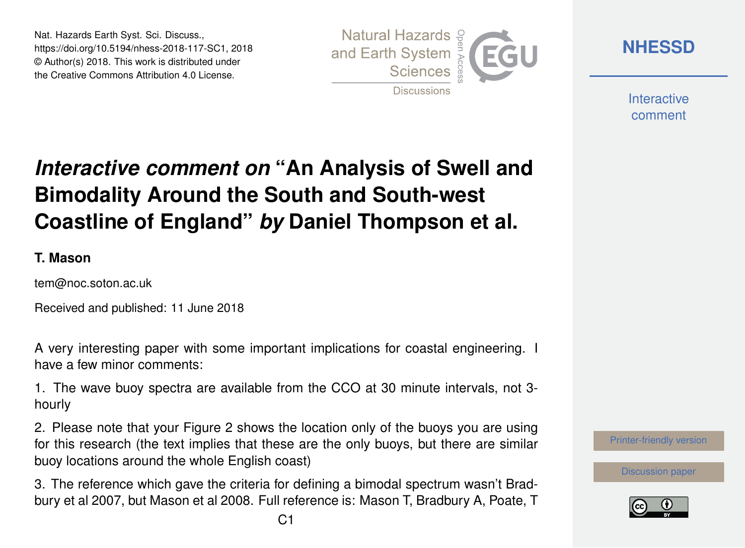Nat. Hazards Earth Syst. Sci. Discuss., https://doi.org/10.5194/nhess-2018-117-SC1, 2018 © Author(s) 2018. This work is distributed under the Creative Commons Attribution 4.0 License.



**[NHESSD](https://www.nat-hazards-earth-syst-sci-discuss.net/)**

**Interactive** comment

## *Interactive comment on* **"An Analysis of Swell and Bimodality Around the South and South-west Coastline of England"** *by* **Daniel Thompson et al.**

## **T. Mason**

tem@noc.soton.ac.uk

Received and published: 11 June 2018

A very interesting paper with some important implications for coastal engineering. I have a few minor comments:

1. The wave buoy spectra are available from the CCO at 30 minute intervals, not 3 hourly

2. Please note that your Figure 2 shows the location only of the buoys you are using for this research (the text implies that these are the only buoys, but there are similar buoy locations around the whole English coast)

3. The reference which gave the criteria for defining a bimodal spectrum wasn't Bradbury et al 2007, but Mason et al 2008. Full reference is: Mason T, Bradbury A, Poate, T